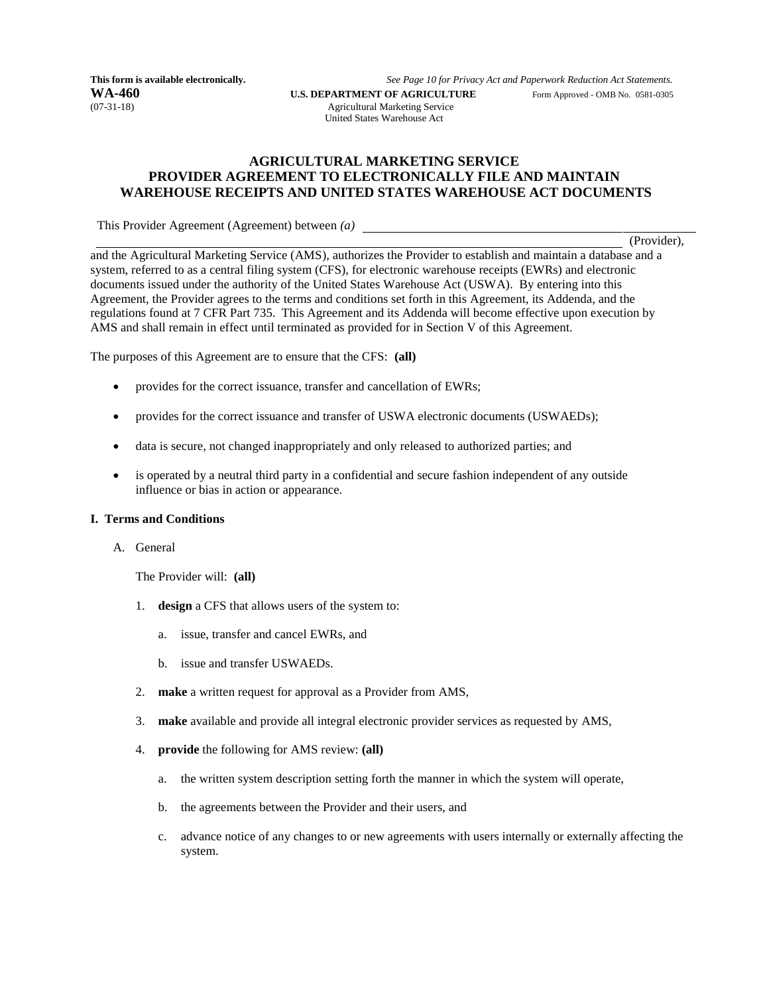**WA-460 U.S. DEPARTMENT OF AGRICULTURE** Form Approved - OMB No. 0581-0305 (07-31-18)

**This form is available electronically.** *See Page 10 for Privacy Act and Paperwork Reduction Act Statements.*

Agricultural Marketing Service United States Warehouse Act

## **AGRICULTURAL MARKETING SERVICE PROVIDER AGREEMENT TO ELECTRONICALLY FILE AND MAINTAIN WAREHOUSE RECEIPTS AND UNITED STATES WAREHOUSE ACT DOCUMENTS**

This Provider Agreement (Agreement) between *(a)*

(Provider),

and the Agricultural Marketing Service (AMS), authorizes the Provider to establish and maintain a database and a system, referred to as a central filing system (CFS), for electronic warehouse receipts (EWRs) and electronic documents issued under the authority of the United States Warehouse Act (USWA). By entering into this Agreement, the Provider agrees to the terms and conditions set forth in this Agreement, its Addenda, and the regulations found at 7 CFR Part 735. This Agreement and its Addenda will become effective upon execution by AMS and shall remain in effect until terminated as provided for in Section V of this Agreement.

The purposes of this Agreement are to ensure that the CFS: **(all)**

- provides for the correct issuance, transfer and cancellation of EWRs;
- provides for the correct issuance and transfer of USWA electronic documents (USWAEDs);
- data is secure, not changed inappropriately and only released to authorized parties; and
- is operated by a neutral third party in a confidential and secure fashion independent of any outside influence or bias in action or appearance.

#### **I. Terms and Conditions**

A. General

The Provider will: **(all)**

- 1. **design** a CFS that allows users of the system to:
	- a. issue, transfer and cancel EWRs, and
	- b. issue and transfer USWAEDs.
- 2. **make** a written request for approval as a Provider from AMS,
- 3. **make** available and provide all integral electronic provider services as requested by AMS,
- 4. **provide** the following for AMS review: **(all)**
	- a. the written system description setting forth the manner in which the system will operate,
	- b. the agreements between the Provider and their users, and
	- c. advance notice of any changes to or new agreements with users internally or externally affecting the system.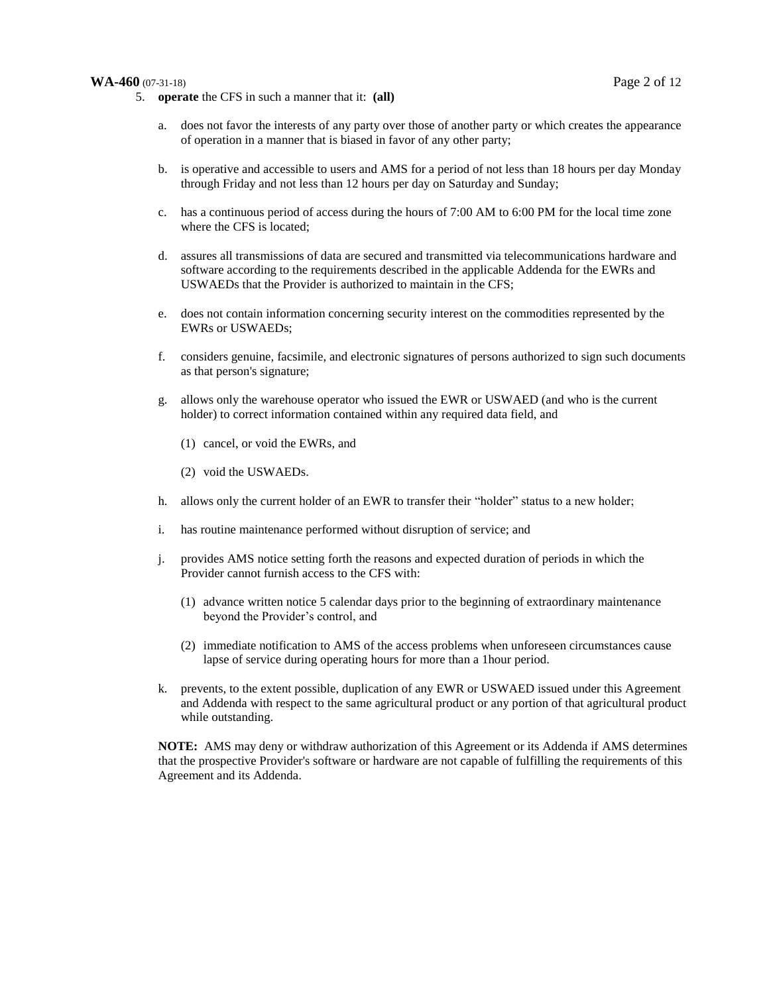#### **WA-460** (07-31-18) Page 2 of 12

- 5. **operate** the CFS in such a manner that it: **(all)**
	- does not favor the interests of any party over those of another party or which creates the appearance of operation in a manner that is biased in favor of any other party;
	- b. is operative and accessible to users and AMS for a period of not less than 18 hours per day Monday through Friday and not less than 12 hours per day on Saturday and Sunday;
	- c. has a continuous period of access during the hours of 7:00 AM to 6:00 PM for the local time zone where the CFS is located;
	- d. assures all transmissions of data are secured and transmitted via telecommunications hardware and software according to the requirements described in the applicable Addenda for the EWRs and USWAEDs that the Provider is authorized to maintain in the CFS;
	- e. does not contain information concerning security interest on the commodities represented by the EWRs or USWAEDs;
	- f. considers genuine, facsimile, and electronic signatures of persons authorized to sign such documents as that person's signature;
	- g. allows only the warehouse operator who issued the EWR or USWAED (and who is the current holder) to correct information contained within any required data field, and
		- (1) cancel, or void the EWRs, and
		- (2) void the USWAEDs.
	- h. allows only the current holder of an EWR to transfer their "holder" status to a new holder;
	- i. has routine maintenance performed without disruption of service; and
	- j. provides AMS notice setting forth the reasons and expected duration of periods in which the Provider cannot furnish access to the CFS with:
		- (1) advance written notice 5 calendar days prior to the beginning of extraordinary maintenance beyond the Provider's control, and
		- (2) immediate notification to AMS of the access problems when unforeseen circumstances cause lapse of service during operating hours for more than a 1hour period.
	- k. prevents, to the extent possible, duplication of any EWR or USWAED issued under this Agreement and Addenda with respect to the same agricultural product or any portion of that agricultural product while outstanding.

**NOTE:** AMS may deny or withdraw authorization of this Agreement or its Addenda if AMS determines that the prospective Provider's software or hardware are not capable of fulfilling the requirements of this Agreement and its Addenda.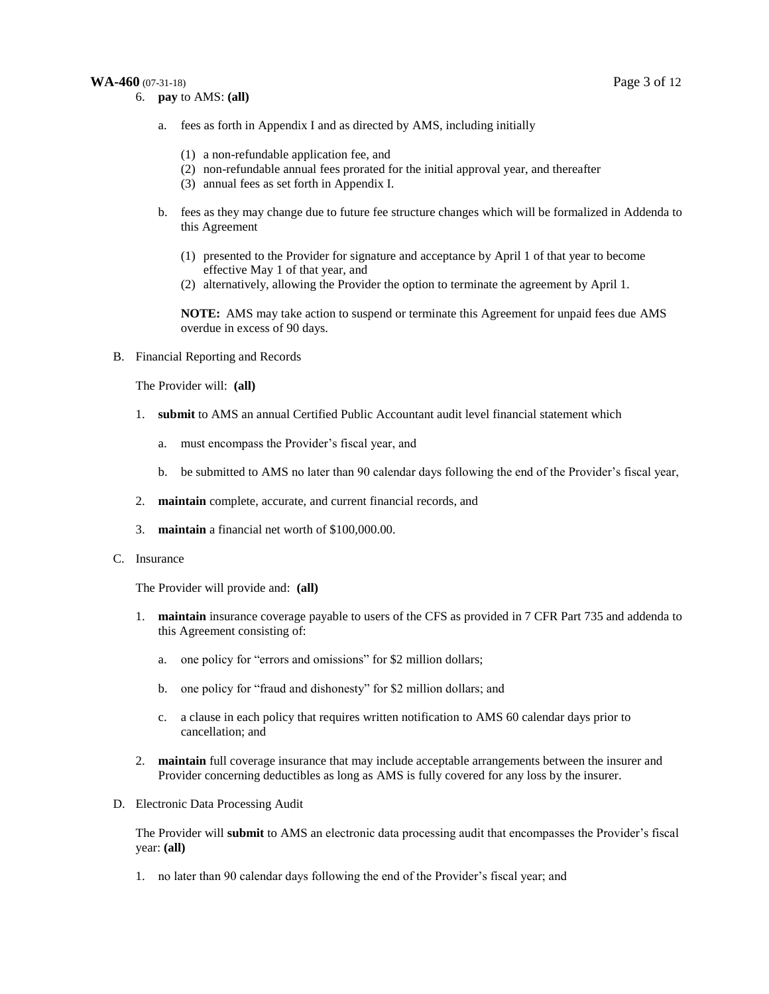#### **WA-460** (07-31-18) Page 3 of 12

- a. fees as forth in Appendix I and as directed by AMS, including initially
	- (1) a non-refundable application fee, and
	- (2) non-refundable annual fees prorated for the initial approval year, and thereafter
	- (3) annual fees as set forth in Appendix I.
- b. fees as they may change due to future fee structure changes which will be formalized in Addenda to this Agreement
	- (1) presented to the Provider for signature and acceptance by April 1 of that year to become effective May 1 of that year, and
	- (2) alternatively, allowing the Provider the option to terminate the agreement by April 1.

**NOTE:** AMS may take action to suspend or terminate this Agreement for unpaid fees due AMS overdue in excess of 90 days.

B. Financial Reporting and Records

The Provider will: **(all)**

- 1. **submit** to AMS an annual Certified Public Accountant audit level financial statement which
	- a. must encompass the Provider's fiscal year, and
	- b. be submitted to AMS no later than 90 calendar days following the end of the Provider's fiscal year,
- 2. **maintain** complete, accurate, and current financial records, and
- 3. **maintain** a financial net worth of \$100,000.00.
- C. Insurance

The Provider will provide and: **(all)**

- 1. **maintain** insurance coverage payable to users of the CFS as provided in 7 CFR Part 735 and addenda to this Agreement consisting of:
	- a. one policy for "errors and omissions" for \$2 million dollars;
	- b. one policy for "fraud and dishonesty" for \$2 million dollars; and
	- c. a clause in each policy that requires written notification to AMS 60 calendar days prior to cancellation; and
- 2. **maintain** full coverage insurance that may include acceptable arrangements between the insurer and Provider concerning deductibles as long as AMS is fully covered for any loss by the insurer.
- D. Electronic Data Processing Audit

The Provider will **submit** to AMS an electronic data processing audit that encompasses the Provider's fiscal year: **(all)**

1. no later than 90 calendar days following the end of the Provider's fiscal year; and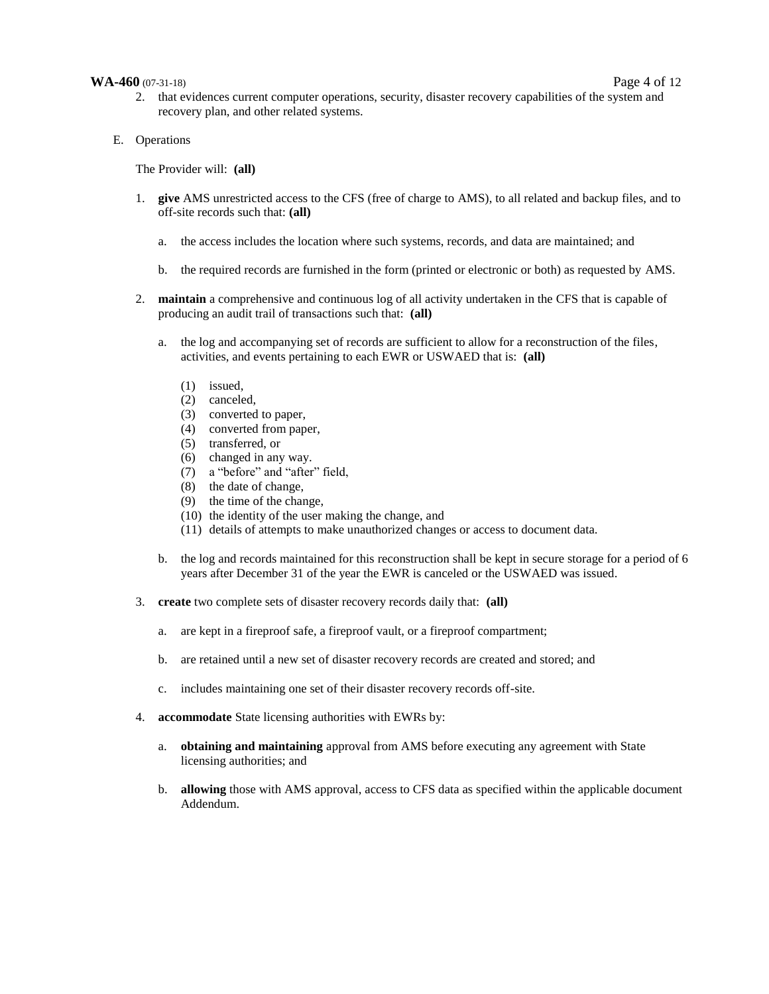#### **WA-460** (07-31-18) Page 4 of 12

- 2. that evidences current computer operations, security, disaster recovery capabilities of the system and recovery plan, and other related systems.
- E. Operations

The Provider will: **(all)**

- 1. **give** AMS unrestricted access to the CFS (free of charge to AMS), to all related and backup files, and to off-site records such that: **(all)**
	- a. the access includes the location where such systems, records, and data are maintained; and
	- b. the required records are furnished in the form (printed or electronic or both) as requested by AMS.
- 2. **maintain** a comprehensive and continuous log of all activity undertaken in the CFS that is capable of producing an audit trail of transactions such that: **(all)**
	- a. the log and accompanying set of records are sufficient to allow for a reconstruction of the files, activities, and events pertaining to each EWR or USWAED that is: **(all)**
		- (1) issued,
		- (2) canceled,
		- (3) converted to paper,
		- (4) converted from paper,
		- $(5)$  transferred, or
		- (6) changed in any way.
		- (7) a "before" and "after" field,
		- (8) the date of change,
		- (9) the time of the change,
		- (10) the identity of the user making the change, and
		- (11) details of attempts to make unauthorized changes or access to document data.
	- b. the log and records maintained for this reconstruction shall be kept in secure storage for a period of 6 years after December 31 of the year the EWR is canceled or the USWAED was issued.
- 3. **create** two complete sets of disaster recovery records daily that: **(all)**
	- a. are kept in a fireproof safe, a fireproof vault, or a fireproof compartment;
	- b. are retained until a new set of disaster recovery records are created and stored; and
	- c. includes maintaining one set of their disaster recovery records off-site.
- 4. **accommodate** State licensing authorities with EWRs by:
	- a. **obtaining and maintaining** approval from AMS before executing any agreement with State licensing authorities; and
	- b. **allowing** those with AMS approval, access to CFS data as specified within the applicable document Addendum.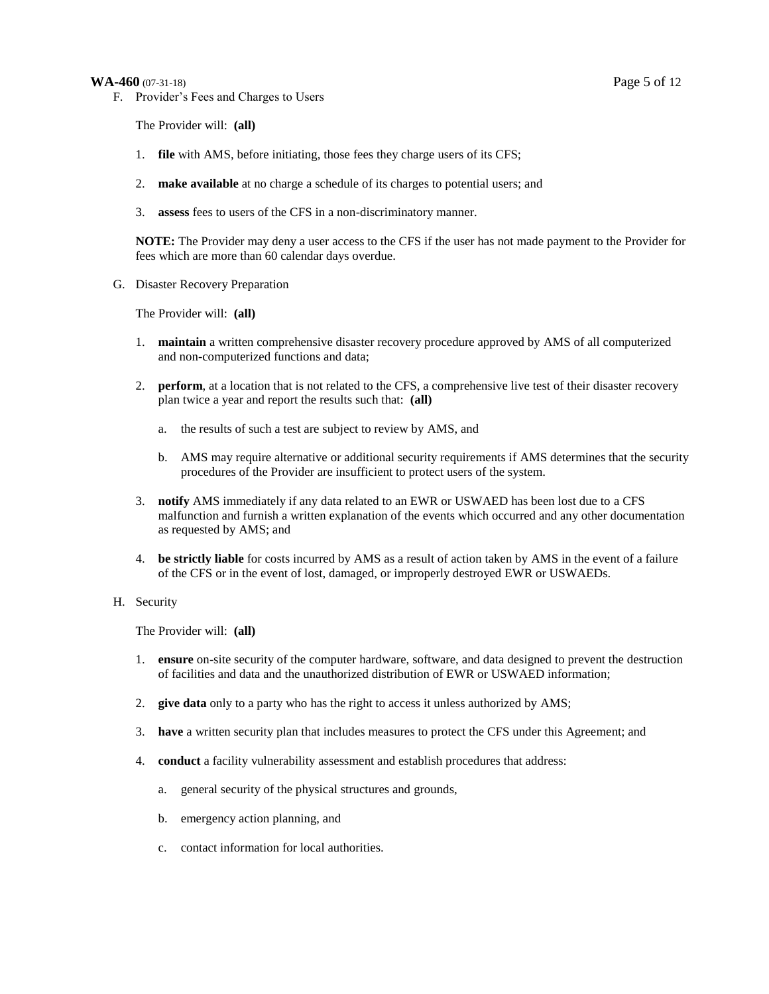#### **WA-460** (07-31-18) Page 5 of 12

F. Provider's Fees and Charges to Users

The Provider will: **(all)**

- 1. **file** with AMS, before initiating, those fees they charge users of its CFS;
- 2. **make available** at no charge a schedule of its charges to potential users; and
- 3. **assess** fees to users of the CFS in a non-discriminatory manner.

**NOTE:** The Provider may deny a user access to the CFS if the user has not made payment to the Provider for fees which are more than 60 calendar days overdue.

G. Disaster Recovery Preparation

The Provider will: **(all)**

- 1. **maintain** a written comprehensive disaster recovery procedure approved by AMS of all computerized and non-computerized functions and data;
- 2. **perform**, at a location that is not related to the CFS, a comprehensive live test of their disaster recovery plan twice a year and report the results such that: **(all)**
	- a. the results of such a test are subject to review by AMS, and
	- b. AMS may require alternative or additional security requirements if AMS determines that the security procedures of the Provider are insufficient to protect users of the system.
- 3. **notify** AMS immediately if any data related to an EWR or USWAED has been lost due to a CFS malfunction and furnish a written explanation of the events which occurred and any other documentation as requested by AMS; and
- 4. **be strictly liable** for costs incurred by AMS as a result of action taken by AMS in the event of a failure of the CFS or in the event of lost, damaged, or improperly destroyed EWR or USWAEDs.

#### H. Security

The Provider will: **(all)**

- 1. **ensure** on-site security of the computer hardware, software, and data designed to prevent the destruction of facilities and data and the unauthorized distribution of EWR or USWAED information;
- 2. **give data** only to a party who has the right to access it unless authorized by AMS;
- 3. **have** a written security plan that includes measures to protect the CFS under this Agreement; and
- 4. **conduct** a facility vulnerability assessment and establish procedures that address:
	- a. general security of the physical structures and grounds,
	- b. emergency action planning, and
	- c. contact information for local authorities.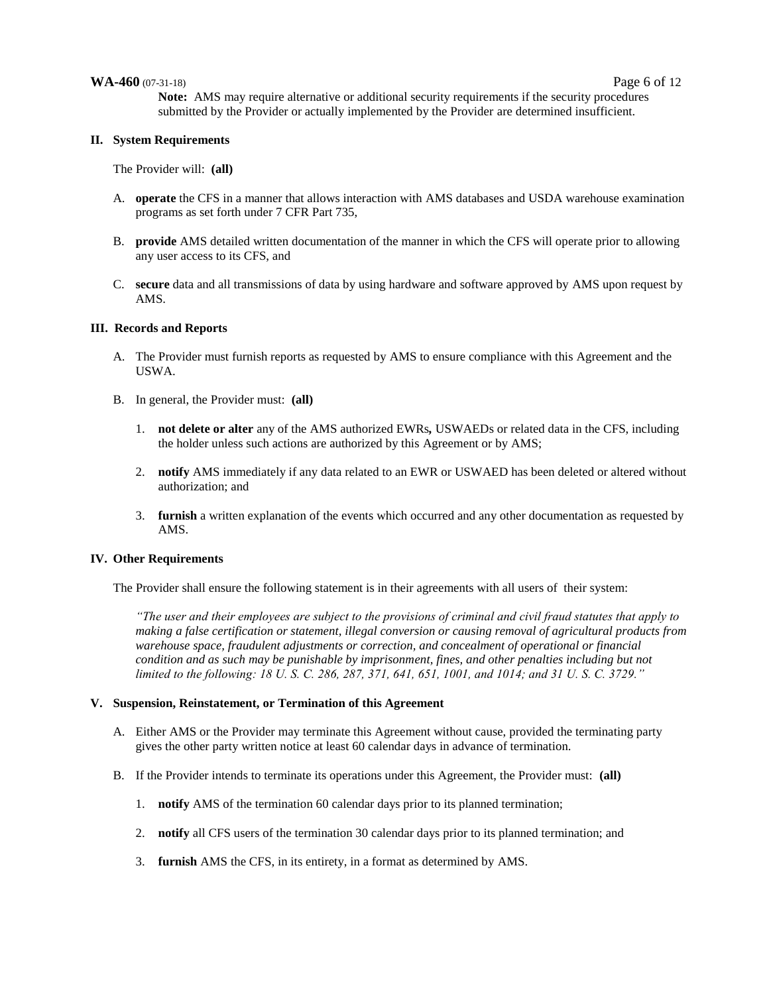#### **WA-460** (07-31-18) Page 6 of 12

**Note:** AMS may require alternative or additional security requirements if the security procedures submitted by the Provider or actually implemented by the Provider are determined insufficient.

#### **II. System Requirements**

The Provider will: **(all)**

- A. **operate** the CFS in a manner that allows interaction with AMS databases and USDA warehouse examination programs as set forth under 7 CFR Part 735,
- B. **provide** AMS detailed written documentation of the manner in which the CFS will operate prior to allowing any user access to its CFS, and
- C. **secure** data and all transmissions of data by using hardware and software approved by AMS upon request by AMS.

#### **III. Records and Reports**

- A. The Provider must furnish reports as requested by AMS to ensure compliance with this Agreement and the USWA.
- B. In general, the Provider must: **(all)**
	- 1. **not delete or alter** any of the AMS authorized EWRs*,* USWAEDs or related data in the CFS, including the holder unless such actions are authorized by this Agreement or by AMS;
	- 2. **notify** AMS immediately if any data related to an EWR or USWAED has been deleted or altered without authorization; and
	- 3. **furnish** a written explanation of the events which occurred and any other documentation as requested by AMS.

#### **IV. Other Requirements**

The Provider shall ensure the following statement is in their agreements with all users of their system:

*"The user and their employees are subject to the provisions of criminal and civil fraud statutes that apply to making a false certification or statement, illegal conversion or causing removal of agricultural products from warehouse space, fraudulent adjustments or correction, and concealment of operational or financial condition and as such may be punishable by imprisonment, fines, and other penalties including but not limited to the following: 18 U. S. C. 286, 287, 371, 641, 651, 1001, and 1014; and 31 U. S. C. 3729."*

#### **V. Suspension, Reinstatement, or Termination of this Agreement**

- A. Either AMS or the Provider may terminate this Agreement without cause, provided the terminating party gives the other party written notice at least 60 calendar days in advance of termination.
- B. If the Provider intends to terminate its operations under this Agreement, the Provider must: **(all)**
	- 1. **notify** AMS of the termination 60 calendar days prior to its planned termination;
	- 2. **notify** all CFS users of the termination 30 calendar days prior to its planned termination; and
	- 3. **furnish** AMS the CFS, in its entirety, in a format as determined by AMS.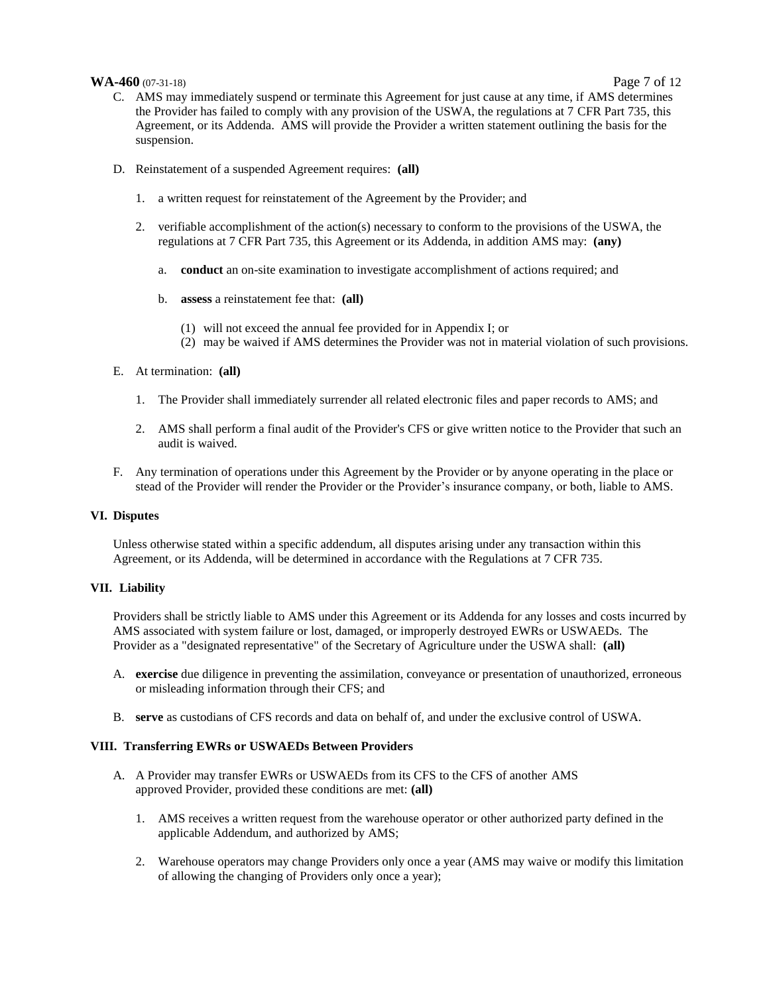#### **WA-460** (07-31-18) Page 7 of 12

- C. AMS may immediately suspend or terminate this Agreement for just cause at any time, if AMS determines the Provider has failed to comply with any provision of the USWA, the regulations at 7 CFR Part 735, this Agreement, or its Addenda. AMS will provide the Provider a written statement outlining the basis for the suspension.
- D. Reinstatement of a suspended Agreement requires: **(all)**
	- 1. a written request for reinstatement of the Agreement by the Provider; and
	- 2. verifiable accomplishment of the action(s) necessary to conform to the provisions of the USWA, the regulations at 7 CFR Part 735, this Agreement or its Addenda, in addition AMS may: **(any)**
		- a. **conduct** an on-site examination to investigate accomplishment of actions required; and
		- b. **assess** a reinstatement fee that: **(all)**
			- (1) will not exceed the annual fee provided for in Appendix I; or
			- (2) may be waived if AMS determines the Provider was not in material violation of such provisions.
- E. At termination: **(all)**
	- 1. The Provider shall immediately surrender all related electronic files and paper records to AMS; and
	- 2. AMS shall perform a final audit of the Provider's CFS or give written notice to the Provider that such an audit is waived.
- F. Any termination of operations under this Agreement by the Provider or by anyone operating in the place or stead of the Provider will render the Provider or the Provider's insurance company, or both, liable to AMS.

#### **VI. Disputes**

Unless otherwise stated within a specific addendum, all disputes arising under any transaction within this Agreement, or its Addenda, will be determined in accordance with the Regulations at 7 CFR 735.

#### **VII. Liability**

Providers shall be strictly liable to AMS under this Agreement or its Addenda for any losses and costs incurred by AMS associated with system failure or lost, damaged, or improperly destroyed EWRs or USWAEDs. The Provider as a "designated representative" of the Secretary of Agriculture under the USWA shall: **(all)**

- A. **exercise** due diligence in preventing the assimilation, conveyance or presentation of unauthorized, erroneous or misleading information through their CFS; and
- B. **serve** as custodians of CFS records and data on behalf of, and under the exclusive control of USWA.

#### **VIII. Transferring EWRs or USWAEDs Between Providers**

- A. A Provider may transfer EWRs or USWAEDs from its CFS to the CFS of another AMS approved Provider, provided these conditions are met: **(all)**
	- 1. AMS receives a written request from the warehouse operator or other authorized party defined in the applicable Addendum, and authorized by AMS;
	- 2. Warehouse operators may change Providers only once a year (AMS may waive or modify this limitation of allowing the changing of Providers only once a year);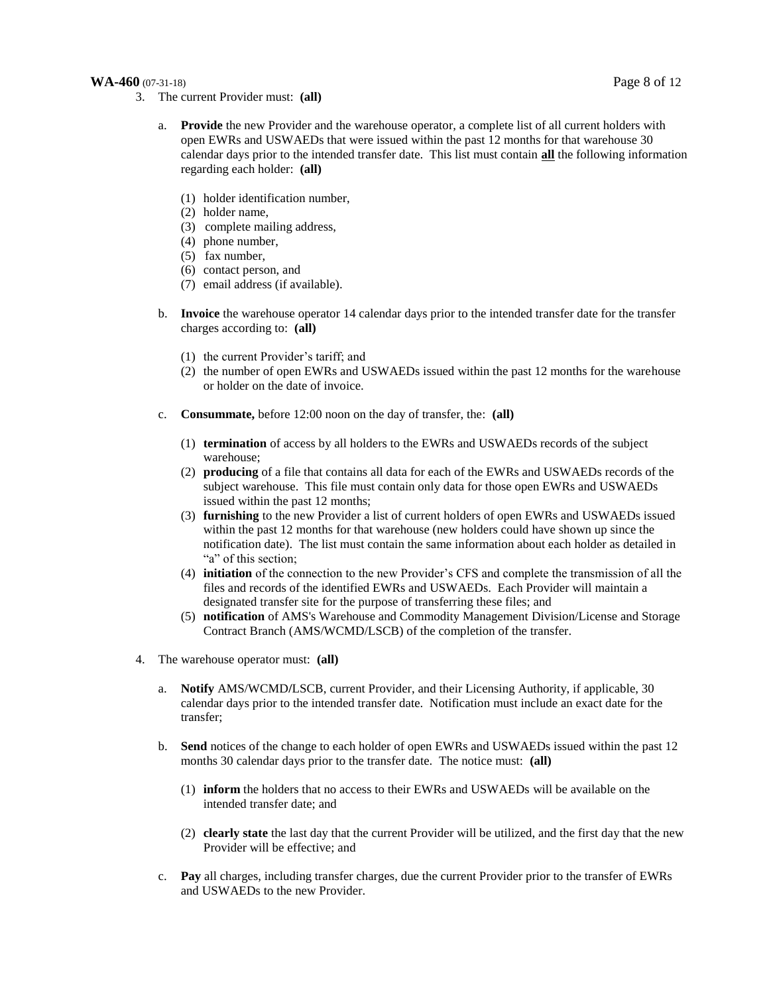#### **WA-460** (07-31-18) Page 8 of 12

- 3. The current Provider must: **(all)**
	- **Provide** the new Provider and the warehouse operator, a complete list of all current holders with open EWRs and USWAEDs that were issued within the past 12 months for that warehouse 30 calendar days prior to the intended transfer date. This list must contain **all** the following information regarding each holder: **(all)**
		- (1) holder identification number,
		- (2) holder name,
		- (3) complete mailing address,
		- (4) phone number,
		- (5) fax number,
		- (6) contact person, and
		- (7) email address (if available).
	- b. **Invoice** the warehouse operator 14 calendar days prior to the intended transfer date for the transfer charges according to: **(all)**
		- (1) the current Provider's tariff; and
		- (2) the number of open EWRs and USWAEDs issued within the past 12 months for the warehouse or holder on the date of invoice.
	- c. **Consummate,** before 12:00 noon on the day of transfer, the: **(all)**
		- (1) **termination** of access by all holders to the EWRs and USWAEDs records of the subject warehouse;
		- (2) **producing** of a file that contains all data for each of the EWRs and USWAEDs records of the subject warehouse. This file must contain only data for those open EWRs and USWAEDs issued within the past 12 months;
		- (3) **furnishing** to the new Provider a list of current holders of open EWRs and USWAEDs issued within the past 12 months for that warehouse (new holders could have shown up since the notification date). The list must contain the same information about each holder as detailed in "a" of this section;
		- (4) **initiation** of the connection to the new Provider's CFS and complete the transmission of all the files and records of the identified EWRs and USWAEDs. Each Provider will maintain a designated transfer site for the purpose of transferring these files; and
		- (5) **notification** of AMS's Warehouse and Commodity Management Division/License and Storage Contract Branch (AMS/WCMD/LSCB) of the completion of the transfer.
- 4. The warehouse operator must: **(all)**
	- a. **Notify** AMS/WCMD**/**LSCB, current Provider, and their Licensing Authority, if applicable, 30 calendar days prior to the intended transfer date. Notification must include an exact date for the transfer;
	- b. **Send** notices of the change to each holder of open EWRs and USWAEDs issued within the past 12 months 30 calendar days prior to the transfer date. The notice must: **(all)**
		- (1) **inform** the holders that no access to their EWRs and USWAEDs will be available on the intended transfer date; and
		- (2) **clearly state** the last day that the current Provider will be utilized, and the first day that the new Provider will be effective; and
	- c. **Pay** all charges, including transfer charges, due the current Provider prior to the transfer of EWRs and USWAEDs to the new Provider.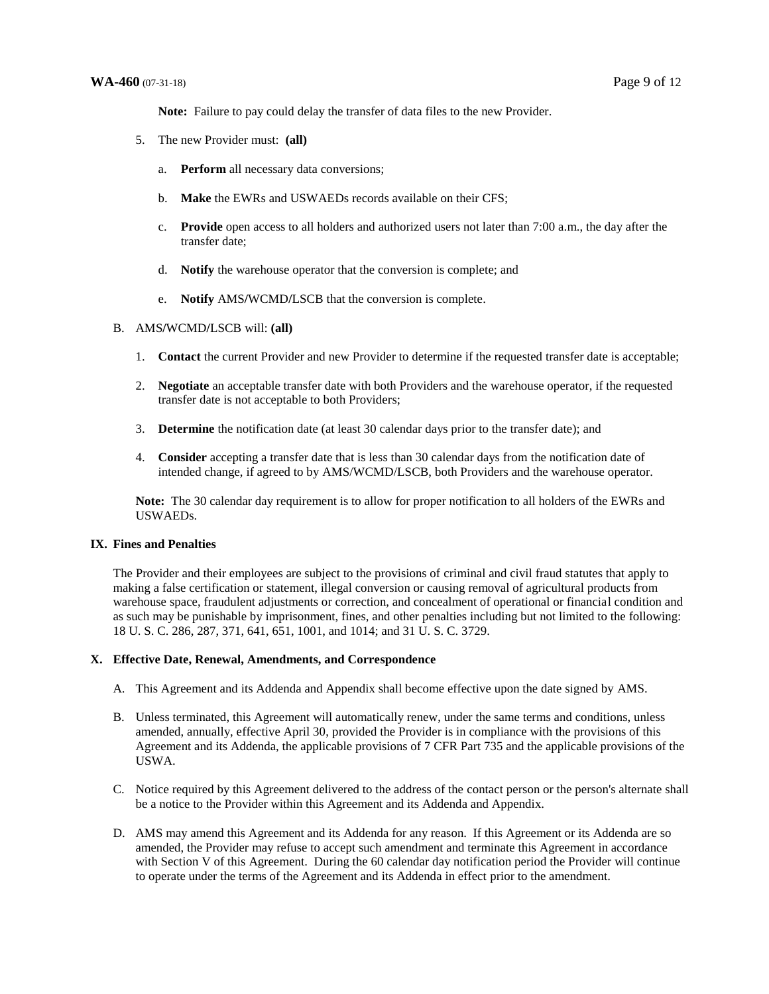**Note:** Failure to pay could delay the transfer of data files to the new Provider.

- 5. The new Provider must: **(all)**
	- a. **Perform** all necessary data conversions;
	- b. **Make** the EWRs and USWAEDs records available on their CFS;
	- c. **Provide** open access to all holders and authorized users not later than 7:00 a.m., the day after the transfer date;
	- d. **Notify** the warehouse operator that the conversion is complete; and
	- e. **Notify** AMS**/**WCMD**/**LSCB that the conversion is complete.

#### B. AMS**/**WCMD**/**LSCB will: **(all)**

- 1. **Contact** the current Provider and new Provider to determine if the requested transfer date is acceptable;
- 2. **Negotiate** an acceptable transfer date with both Providers and the warehouse operator, if the requested transfer date is not acceptable to both Providers;
- 3. **Determine** the notification date (at least 30 calendar days prior to the transfer date); and
- 4. **Consider** accepting a transfer date that is less than 30 calendar days from the notification date of intended change, if agreed to by AMS/WCMD/LSCB, both Providers and the warehouse operator.

**Note:** The 30 calendar day requirement is to allow for proper notification to all holders of the EWRs and USWAEDs.

#### **IX. Fines and Penalties**

The Provider and their employees are subject to the provisions of criminal and civil fraud statutes that apply to making a false certification or statement, illegal conversion or causing removal of agricultural products from warehouse space, fraudulent adjustments or correction, and concealment of operational or financial condition and as such may be punishable by imprisonment, fines, and other penalties including but not limited to the following: 18 U. S. C. 286, 287, 371, 641, 651, 1001, and 1014; and 31 U. S. C. 3729.

#### **X. Effective Date, Renewal, Amendments, and Correspondence**

- A. This Agreement and its Addenda and Appendix shall become effective upon the date signed by AMS.
- B. Unless terminated, this Agreement will automatically renew, under the same terms and conditions, unless amended, annually, effective April 30, provided the Provider is in compliance with the provisions of this Agreement and its Addenda, the applicable provisions of 7 CFR Part 735 and the applicable provisions of the USWA.
- C. Notice required by this Agreement delivered to the address of the contact person or the person's alternate shall be a notice to the Provider within this Agreement and its Addenda and Appendix.
- D. AMS may amend this Agreement and its Addenda for any reason. If this Agreement or its Addenda are so amended, the Provider may refuse to accept such amendment and terminate this Agreement in accordance with Section V of this Agreement. During the 60 calendar day notification period the Provider will continue to operate under the terms of the Agreement and its Addenda in effect prior to the amendment.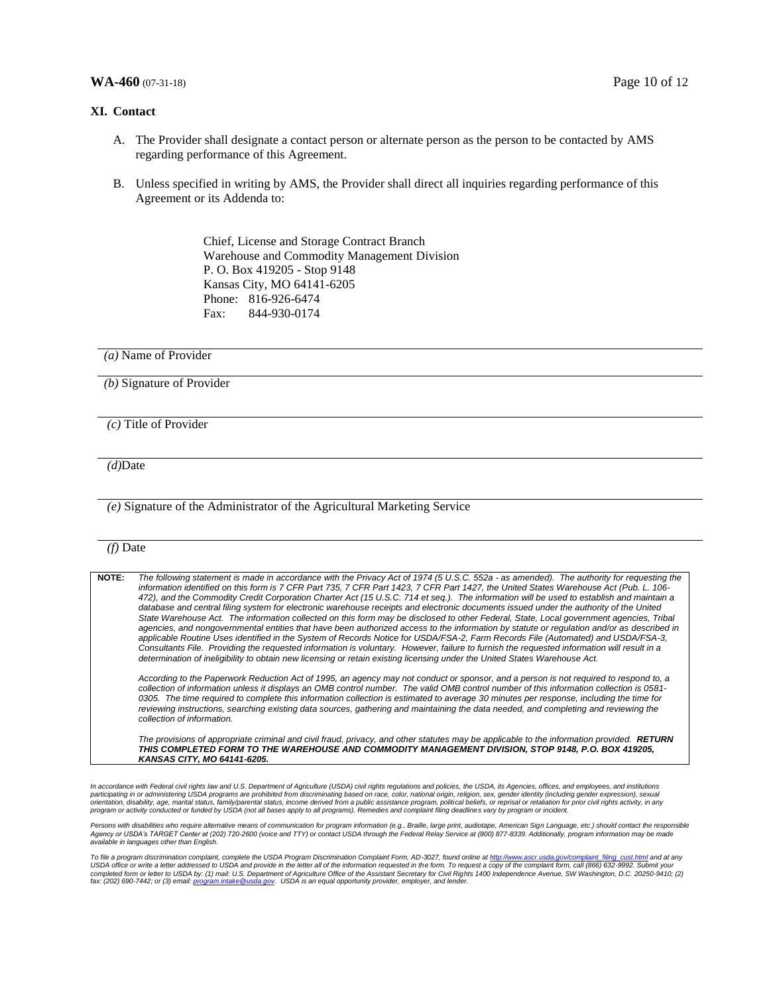#### **WA-460** (07-31-18) Page 10 of 12

#### **XI. Contact**

- A. The Provider shall designate a contact person or alternate person as the person to be contacted by AMS regarding performance of this Agreement.
- B. Unless specified in writing by AMS, the Provider shall direct all inquiries regarding performance of this Agreement or its Addenda to:

Chief, License and Storage Contract Branch Warehouse and Commodity Management Division P. O. Box 419205 - Stop 9148 Kansas City, MO 64141-6205 Phone: 816-926-6474 Fax: 844-930-0174

*(a)* Name of Provider

*(b)* Signature of Provider

*(c)* Title of Provider

*(d)*Date

*(e)* Signature of the Administrator of the Agricultural Marketing Service

#### *(f)* Date

**NOTE:** *The following statement is made in accordance with the Privacy Act of 1974 (5 U.S.C. 552a - as amended). The authority for requesting the information identified on this form is 7 CFR Part 735, 7 CFR Part 1423, 7 CFR Part 1427, the United States Warehouse Act (Pub. L. 106- 472), and the Commodity Credit Corporation Charter Act (15 U.S.C. 714 et seq.). The information will be used to establish and maintain a database and central filing system for electronic warehouse receipts and electronic documents issued under the authority of the United State Warehouse Act. The information collected on this form may be disclosed to other Federal, State, Local government agencies, Tribal agencies, and nongovernmental entities that have been authorized access to the information by statute or regulation and/or as described in applicable Routine Uses identified in the System of Records Notice for USDA/FSA-2, Farm Records File (Automated) and USDA/FSA-3, Consultants File. Providing the requested information is voluntary. However, failure to furnish the requested information will result in a determination of ineligibility to obtain new licensing or retain existing licensing under the United States Warehouse Act.*

*According to the Paperwork Reduction Act of 1995, an agency may not conduct or sponsor, and a person is not required to respond to, a collection of information unless it displays an OMB control number. The valid OMB control number of this information collection is 0581- 0305. The time required to complete this information collection is estimated to average 30 minutes per response, including the time for*  reviewing instructions, searching existing data sources, gathering and maintaining the data needed, and completing and reviewing the *collection of information.* 

*The provisions of appropriate criminal and civil fraud, privacy, and other statutes may be applicable to the information provided. RETURN THIS COMPLETED FORM TO THE WAREHOUSE AND COMMODITY MANAGEMENT DIVISION, STOP 9148, P.O. BOX 419205, KANSAS CITY, MO 64141-6205.*

In accordance with Federal civil rights law and U.S. Department of Agriculture (USDA) civil rights regulations and policies, the USDA, its Agencies, offices, and employees, and institutions<br>participating in or administerin

Persons with disabilities who require alternative means of communication for program information (e.g., Braille, large print, audiotape, American Sign Language, etc.) should contact the responsible<br>Agency or USDA's TARGET *available in languages other than English.* 

To file a program discrimination complaint, complete the USDA Program Discrimination Complaint Form, AD-3027, found online at <u>http://www.ascr.usda.gov/complaint\_filing\_cust.html</u> and at any<br>USDA office or write a letter a completed form or letter to USDA by: (1) mail: U.S. Department of Agriculture Office of the Assistant Secretary for Civil Rights 1400 Independence Avenue, SW Washington, D.C. 20250-9410; (2)<br>fax: (202) 690-7442; or (3) ema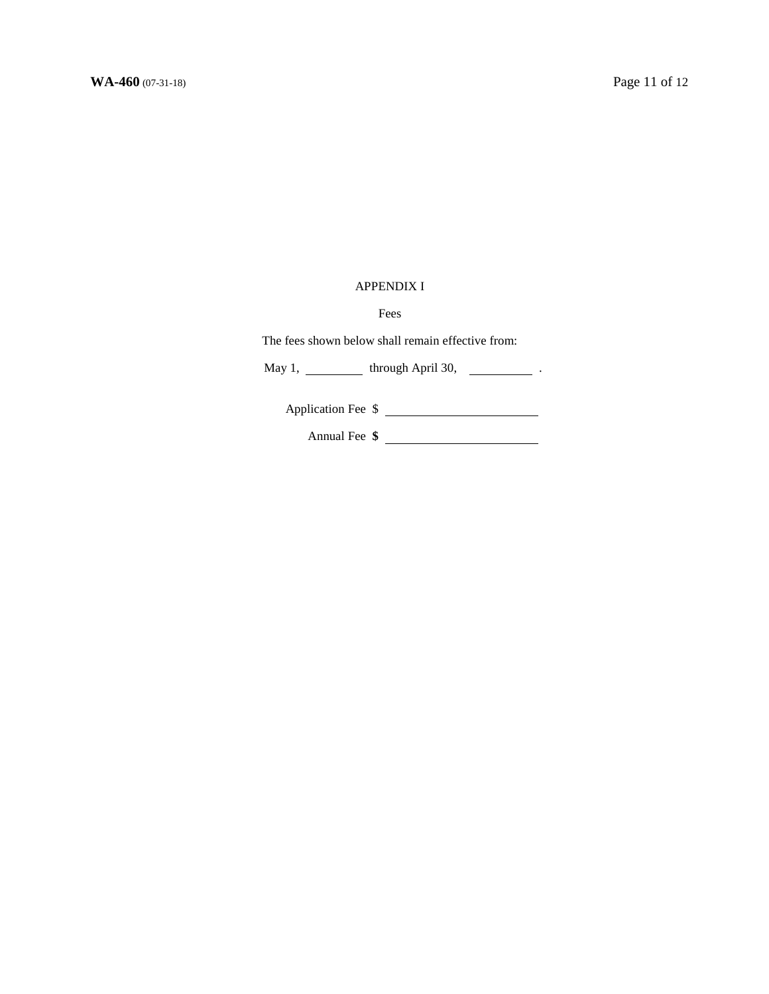## APPENDIX I

Fees

The fees shown below shall remain effective from:

May 1,  $\frac{1}{\sqrt{1-\frac{1}{\sqrt{1-\frac{1}{\sqrt{1-\frac{1}{\sqrt{1-\frac{1}{\sqrt{1-\frac{1}{\sqrt{1-\frac{1}{\sqrt{1-\frac{1}{\sqrt{1-\frac{1}{\sqrt{1-\frac{1}{\sqrt{1-\frac{1}{\sqrt{1-\frac{1}{\sqrt{1-\frac{1}{\sqrt{1-\frac{1}{\sqrt{1-\frac{1}{\sqrt{1-\frac{1}{\sqrt{1-\frac{1}{\sqrt{1-\frac{1}{\sqrt{1-\frac{1}{\sqrt{1-\frac{1}{\sqrt{1-\frac{1}{\sqrt{1-\frac{1}{\sqrt{1-\frac{1}{\sqrt{1-\frac{1}{\$ 

Application Fee \$

Annual Fee **\$**